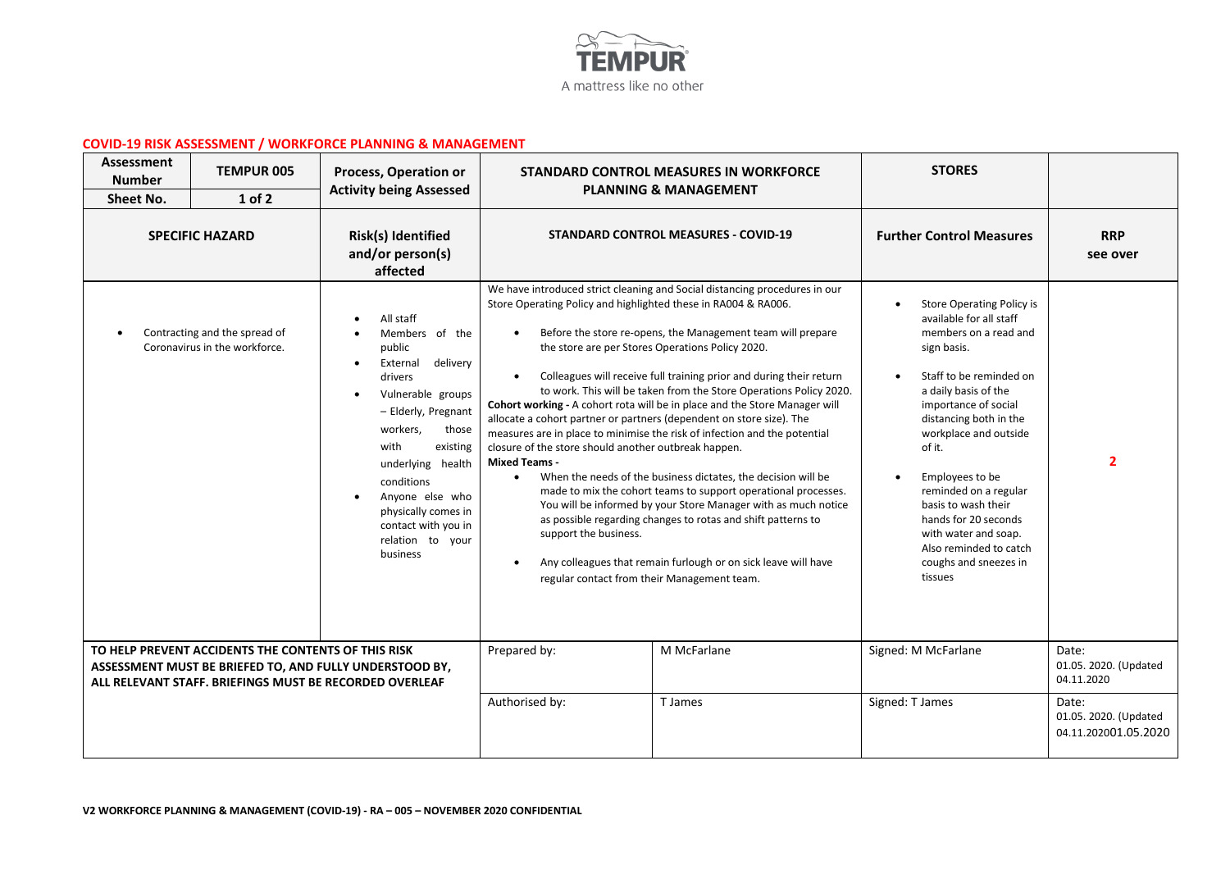

## **COVID-19 RISK ASSESSMENT / WORKFORCE PLANNING & MANAGEMENT**

| Assessment<br><b>Number</b><br><b>Sheet No.</b> | <b>TEMPUR 005</b><br>1 of 2                                    | Process, Operation or<br><b>Activity being Assessed</b>                                                                                                                                                                                                                                                                     |                                                                                                                                                                                                                                                                                                | <b>STANDARD CONTROL MEASURES IN WORKFORCE</b><br><b>PLANNING &amp; MANAGEMENT</b>                                                                                                                                                                                                                                                                                                                                                                                                                                                                                                                                                                                                                                                                                                                                                            | <b>STORES</b>                                                                                                                                                                                                                                                                                                                                                                                                                |                                                        |
|-------------------------------------------------|----------------------------------------------------------------|-----------------------------------------------------------------------------------------------------------------------------------------------------------------------------------------------------------------------------------------------------------------------------------------------------------------------------|------------------------------------------------------------------------------------------------------------------------------------------------------------------------------------------------------------------------------------------------------------------------------------------------|----------------------------------------------------------------------------------------------------------------------------------------------------------------------------------------------------------------------------------------------------------------------------------------------------------------------------------------------------------------------------------------------------------------------------------------------------------------------------------------------------------------------------------------------------------------------------------------------------------------------------------------------------------------------------------------------------------------------------------------------------------------------------------------------------------------------------------------------|------------------------------------------------------------------------------------------------------------------------------------------------------------------------------------------------------------------------------------------------------------------------------------------------------------------------------------------------------------------------------------------------------------------------------|--------------------------------------------------------|
|                                                 | <b>SPECIFIC HAZARD</b>                                         | Risk(s) Identified<br>and/or person(s)<br>affected                                                                                                                                                                                                                                                                          |                                                                                                                                                                                                                                                                                                | <b>STANDARD CONTROL MEASURES - COVID-19</b>                                                                                                                                                                                                                                                                                                                                                                                                                                                                                                                                                                                                                                                                                                                                                                                                  | <b>Further Control Measures</b>                                                                                                                                                                                                                                                                                                                                                                                              | <b>RRP</b><br>see over                                 |
|                                                 | Contracting and the spread of<br>Coronavirus in the workforce. | All staff<br>Members of the<br>public<br>delivery<br>External<br>$\bullet$<br>drivers<br>Vulnerable groups<br>$\bullet$<br>- Elderly, Pregnant<br>workers,<br>those<br>with<br>existing<br>underlying health<br>conditions<br>Anyone else who<br>physically comes in<br>contact with you in<br>relation to your<br>business | Store Operating Policy and highlighted these in RA004 & RA006.<br>allocate a cohort partner or partners (dependent on store size). The<br>closure of the store should another outbreak happen.<br><b>Mixed Teams -</b><br>support the business.<br>regular contact from their Management team. | We have introduced strict cleaning and Social distancing procedures in our<br>Before the store re-opens, the Management team will prepare<br>the store are per Stores Operations Policy 2020.<br>Colleagues will receive full training prior and during their return<br>to work. This will be taken from the Store Operations Policy 2020.<br>Cohort working - A cohort rota will be in place and the Store Manager will<br>measures are in place to minimise the risk of infection and the potential<br>When the needs of the business dictates, the decision will be<br>made to mix the cohort teams to support operational processes.<br>You will be informed by your Store Manager with as much notice<br>as possible regarding changes to rotas and shift patterns to<br>Any colleagues that remain furlough or on sick leave will have | <b>Store Operating Policy is</b><br>available for all staff<br>members on a read and<br>sign basis.<br>Staff to be reminded on<br>a daily basis of the<br>importance of social<br>distancing both in the<br>workplace and outside<br>of it.<br>Employees to be<br>reminded on a regular<br>basis to wash their<br>hands for 20 seconds<br>with water and soap.<br>Also reminded to catch<br>coughs and sneezes in<br>tissues | $\overline{2}$                                         |
|                                                 | TO HELP PREVENT ACCIDENTS THE CONTENTS OF THIS RISK            | ASSESSMENT MUST BE BRIEFED TO, AND FULLY UNDERSTOOD BY,<br>ALL RELEVANT STAFF. BRIEFINGS MUST BE RECORDED OVERLEAF                                                                                                                                                                                                          | Prepared by:                                                                                                                                                                                                                                                                                   | M McFarlane                                                                                                                                                                                                                                                                                                                                                                                                                                                                                                                                                                                                                                                                                                                                                                                                                                  | Signed: M McFarlane                                                                                                                                                                                                                                                                                                                                                                                                          | Date:<br>01.05. 2020. (Updated<br>04.11.2020           |
|                                                 |                                                                |                                                                                                                                                                                                                                                                                                                             | Authorised by:                                                                                                                                                                                                                                                                                 | T James                                                                                                                                                                                                                                                                                                                                                                                                                                                                                                                                                                                                                                                                                                                                                                                                                                      | Signed: T James                                                                                                                                                                                                                                                                                                                                                                                                              | Date:<br>01.05. 2020. (Updated<br>04.11.202001.05.2020 |